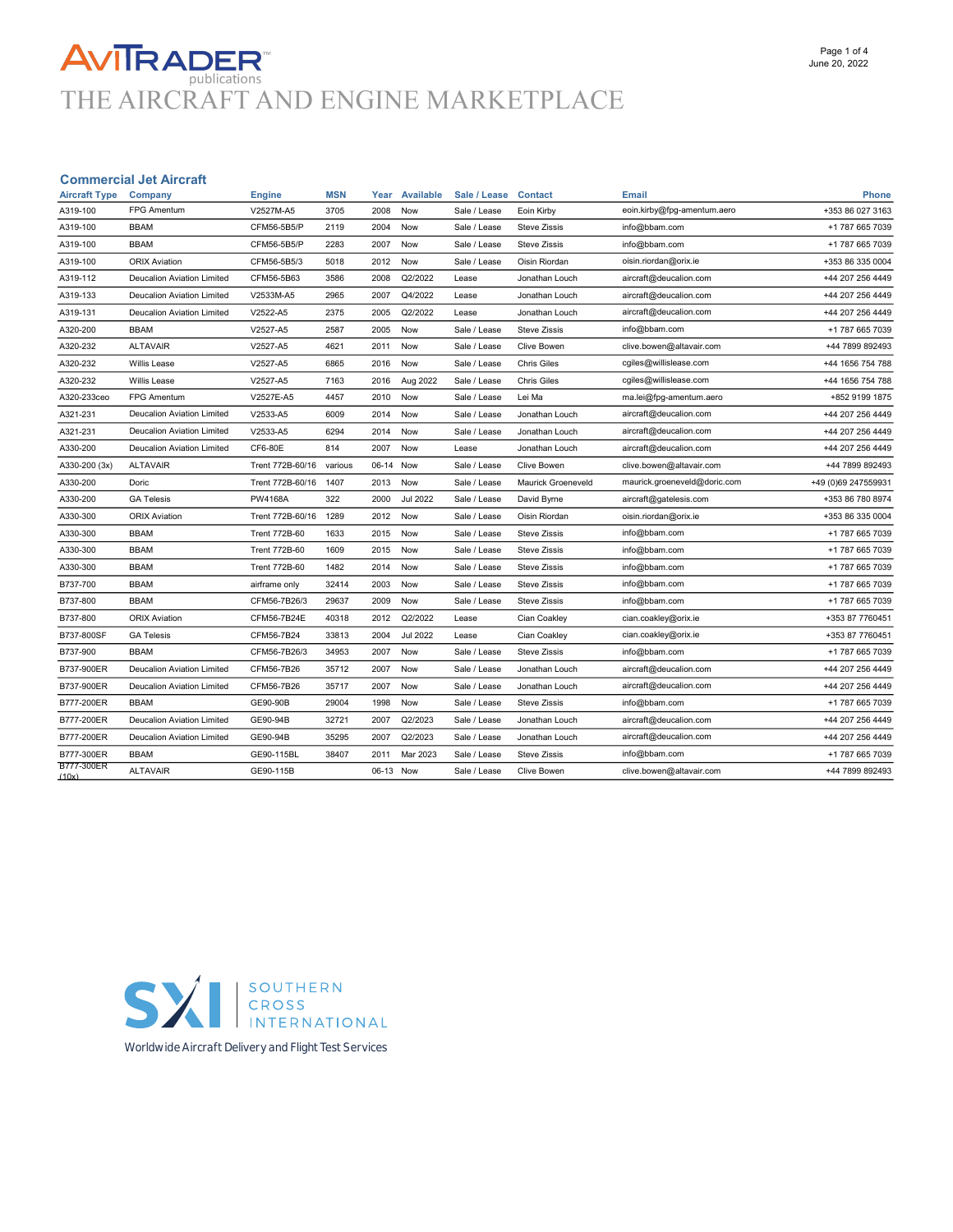# **AVITRADER**<br>THE AIRCRAFT AND ENGINE MARKETPLACE

#### Commercial Jet Aircraft

| <b>Aircraft Type</b>       | Company                           | Engine               | <b>MSN</b> | Year      | <b>Available</b> | Sale / Lease | <b>Contact</b>      | Email                        | <b>Phone</b>        |
|----------------------------|-----------------------------------|----------------------|------------|-----------|------------------|--------------|---------------------|------------------------------|---------------------|
| A319-100                   | <b>FPG Amentum</b>                | V2527M-A5            | 3705       | 2008      | Now              | Sale / Lease | Eoin Kirby          | eoin.kirby@fpg-amentum.aero  | +353 86 027 3163    |
| A319-100                   | <b>BBAM</b>                       | CFM56-5B5/P          | 2119       | 2004      | Now              | Sale / Lease | <b>Steve Zissis</b> | info@bbam.com                | +1 787 665 7039     |
| A319-100                   | <b>BBAM</b>                       | CFM56-5B5/P          | 2283       | 2007      | Now              | Sale / Lease | <b>Steve Zissis</b> | info@bbam.com                | +1 787 665 7039     |
| A319-100                   | <b>ORIX Aviation</b>              | CFM56-5B5/3          | 5018       | 2012      | Now              | Sale / Lease | Oisin Riordan       | oisin.riordan@orix.ie        | +353 86 335 0004    |
| A319-112                   | Deucalion Aviation Limited        | CFM56-5B63           | 3586       | 2008      | Q2/2022          | Lease        | Jonathan Louch      | aircraft@deucalion.com       | +44 207 256 4449    |
| A319-133                   | Deucalion Aviation Limited        | V2533M-A5            | 2965       | 2007      | Q4/2022          | Lease        | Jonathan Louch      | aircraft@deucalion.com       | +44 207 256 4449    |
| A319-131                   | <b>Deucalion Aviation Limited</b> | V2522-A5             | 2375       | 2005      | Q2/2022          | Lease        | Jonathan Louch      | aircraft@deucalion.com       | +44 207 256 4449    |
| A320-200                   | <b>BBAM</b>                       | V2527-A5             | 2587       | 2005      | Now              | Sale / Lease | <b>Steve Zissis</b> | info@bbam.com                | +1 787 665 7039     |
| A320-232                   | <b>ALTAVAIR</b>                   | V2527-A5             | 4621       | 2011      | Now              | Sale / Lease | Clive Bowen         | clive.bowen@altavair.com     | +44 7899 892493     |
| A320-232                   | Willis Lease                      | V2527-A5             | 6865       | 2016      | Now              | Sale / Lease | <b>Chris Giles</b>  | cgiles@willislease.com       | +44 1656 754 788    |
| A320-232                   | <b>Willis Lease</b>               | V2527-A5             | 7163       | 2016      | Aug 2022         | Sale / Lease | <b>Chris Giles</b>  | cgiles@willislease.com       | +44 1656 754 788    |
| A320-233ceo                | FPG Amentum                       | V2527E-A5            | 4457       | 2010      | Now              | Sale / Lease | Lei Ma              | ma.lei@fpg-amentum.aero      | +852 9199 1875      |
| A321-231                   | Deucalion Aviation Limited        | V2533-A5             | 6009       | 2014      | Now              | Sale / Lease | Jonathan Louch      | aircraft@deucalion.com       | +44 207 256 4449    |
| A321-231                   | Deucalion Aviation Limited        | V2533-A5             | 6294       | 2014      | Now              | Sale / Lease | Jonathan Louch      | aircraft@deucalion.com       | +44 207 256 4449    |
| A330-200                   | <b>Deucalion Aviation Limited</b> | CF6-80E              | 814        | 2007      | Now              | Lease        | Jonathan Louch      | aircraft@deucalion.com       | +44 207 256 4449    |
| A330-200 (3x)              | <b>ALTAVAIR</b>                   | Trent 772B-60/16     | various    | 06-14     | Now              | Sale / Lease | <b>Clive Bowen</b>  | clive.bowen@altavair.com     | +44 7899 892493     |
| A330-200                   | Doric                             | Trent 772B-60/16     | 1407       | 2013      | Now              | Sale / Lease | Maurick Groeneveld  | maurick.groeneveld@doric.com | +49 (0)69 247559931 |
| A330-200                   | <b>GA Telesis</b>                 | PW4168A              | 322        | 2000      | <b>Jul 2022</b>  | Sale / Lease | David Byrne         | aircraft@gatelesis.com       | +353 86 780 8974    |
| A330-300                   | <b>ORIX Aviation</b>              | Trent 772B-60/16     | 1289       | 2012      | Now              | Sale / Lease | Oisin Riordan       | oisin.riordan@orix.ie        | +353 86 335 0004    |
| A330-300                   | <b>BBAM</b>                       | <b>Trent 772B-60</b> | 1633       | 2015      | Now              | Sale / Lease | <b>Steve Zissis</b> | info@bbam.com                | +1 787 665 7039     |
| A330-300                   | <b>BBAM</b>                       | <b>Trent 772B-60</b> | 1609       | 2015      | Now              | Sale / Lease | <b>Steve Zissis</b> | info@bbam.com                | +1 787 665 7039     |
| A330-300                   | <b>BBAM</b>                       | <b>Trent 772B-60</b> | 1482       | 2014      | Now              | Sale / Lease | <b>Steve Zissis</b> | info@bbam.com                | +1 787 665 7039     |
| B737-700                   | <b>BBAM</b>                       | airframe only        | 32414      | 2003      | Now              | Sale / Lease | <b>Steve Zissis</b> | info@bbam.com                | +1 787 665 7039     |
| B737-800                   | <b>BBAM</b>                       | CFM56-7B26/3         | 29637      | 2009      | Now              | Sale / Lease | <b>Steve Zissis</b> | info@bbam.com                | +1 787 665 7039     |
| B737-800                   | <b>ORIX Aviation</b>              | CFM56-7B24E          | 40318      | 2012      | Q2/2022          | Lease        | Cian Coakley        | cian.coakley@orix.ie         | +353 87 7760451     |
| B737-800SF                 | <b>GA Telesis</b>                 | CFM56-7B24           | 33813      | 2004      | <b>Jul 2022</b>  | Lease        | Cian Coakley        | cian.coakley@orix.ie         | +353 87 7760451     |
| B737-900                   | <b>BBAM</b>                       | CFM56-7B26/3         | 34953      | 2007      | Now              | Sale / Lease | <b>Steve Zissis</b> | info@bbam.com                | +1 787 665 7039     |
| B737-900ER                 | Deucalion Aviation Limited        | CFM56-7B26           | 35712      | 2007      | Now              | Sale / Lease | Jonathan Louch      | aircraft@deucalion.com       | +44 207 256 4449    |
| B737-900ER                 | Deucalion Aviation Limited        | CFM56-7B26           | 35717      | 2007      | Now              | Sale / Lease | Jonathan Louch      | aircraft@deucalion.com       | +44 207 256 4449    |
| B777-200ER                 | <b>BBAM</b>                       | GE90-90B             | 29004      | 1998      | Now              | Sale / Lease | <b>Steve Zissis</b> | info@bbam.com                | +1 787 665 7039     |
| B777-200ER                 | Deucalion Aviation Limited        | GE90-94B             | 32721      | 2007      | Q2/2023          | Sale / Lease | Jonathan Louch      | aircraft@deucalion.com       | +44 207 256 4449    |
| B777-200ER                 | Deucalion Aviation Limited        | GE90-94B             | 35295      | 2007      | Q2/2023          | Sale / Lease | Jonathan Louch      | aircraft@deucalion.com       | +44 207 256 4449    |
| B777-300ER                 | <b>BBAM</b>                       | GE90-115BL           | 38407      | 2011      | Mar 2023         | Sale / Lease | <b>Steve Zissis</b> | info@bbam.com                | +1 787 665 7039     |
| <b>B777-300ER</b><br>(10x) | <b>ALTAVAIR</b>                   | GE90-115B            |            | 06-13 Now |                  | Sale / Lease | <b>Clive Bowen</b>  | clive.bowen@altavair.com     | +44 7899 892493     |
|                            |                                   |                      |            |           |                  |              |                     |                              |                     |



**Worldwide Aircraft Delivery and Flight Test Services**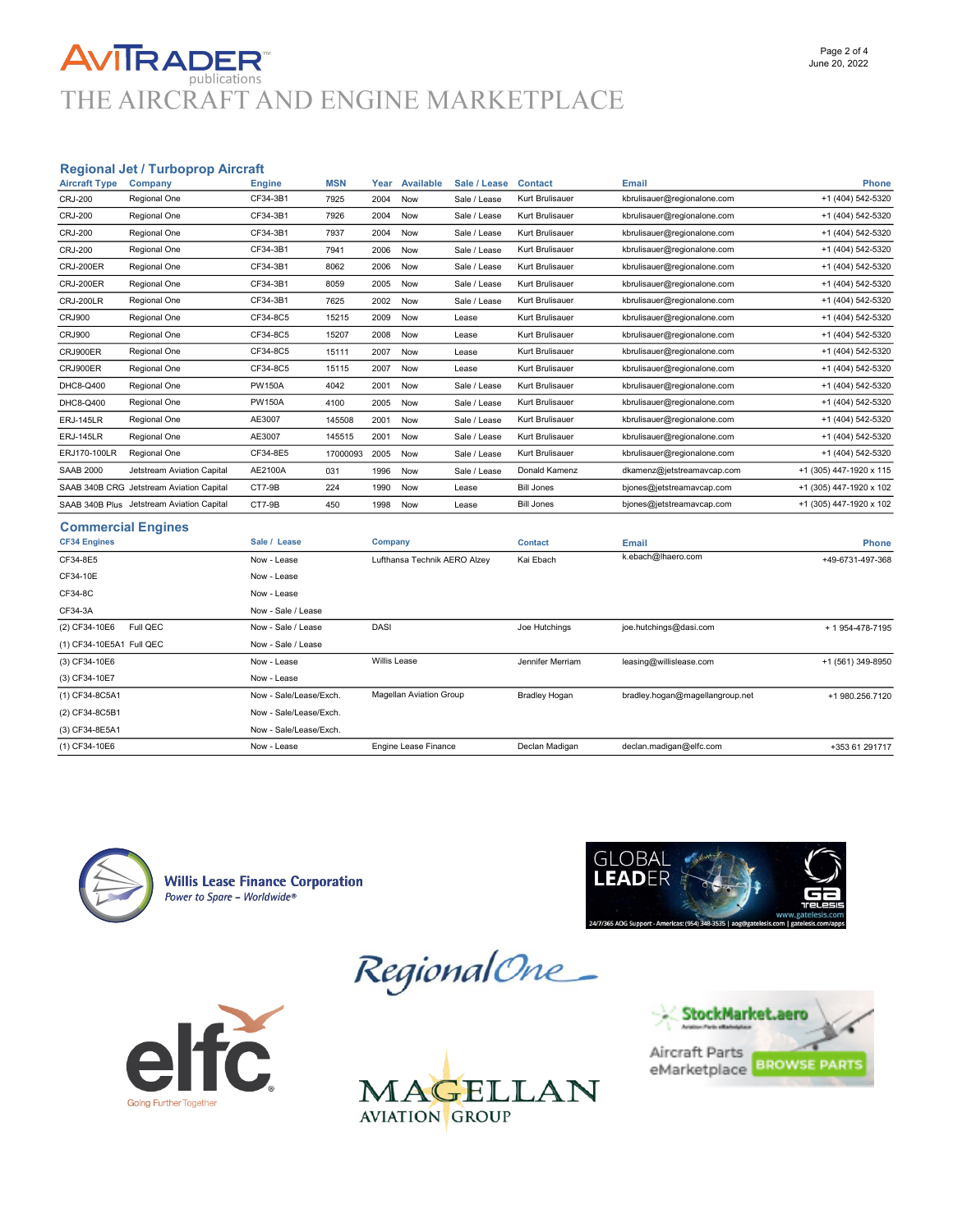### **AVITRADER** THE AIRCRAFT AND ENGINE MARKETPLACE

#### Regional Jet / Turboprop Aircraft

| <b>Aircraft Type</b>     | Company                                   | <b>Engine</b>          | <b>MSN</b> | Year                | <b>Available</b>               | Sale / Lease | <b>Contact</b>       | <b>Email</b>                    | <b>Phone</b>            |
|--------------------------|-------------------------------------------|------------------------|------------|---------------------|--------------------------------|--------------|----------------------|---------------------------------|-------------------------|
| <b>CRJ-200</b>           | Regional One                              | CF34-3B1               | 7925       | 2004                | Now                            | Sale / Lease | Kurt Brulisauer      | kbrulisauer@regionalone.com     | +1 (404) 542-5320       |
| <b>CRJ-200</b>           | Regional One                              | CF34-3B1               | 7926       | 2004                | Now                            | Sale / Lease | Kurt Brulisauer      | kbrulisauer@regionalone.com     | +1 (404) 542-5320       |
| <b>CRJ-200</b>           | Regional One                              | CF34-3B1               | 7937       | 2004                | Now                            | Sale / Lease | Kurt Brulisauer      | kbrulisauer@regionalone.com     | +1 (404) 542-5320       |
| <b>CRJ-200</b>           | Regional One                              | CF34-3B1               | 7941       | 2006                | Now                            | Sale / Lease | Kurt Brulisauer      | kbrulisauer@regionalone.com     | +1 (404) 542-5320       |
| <b>CRJ-200ER</b>         | Regional One                              | CF34-3B1               | 8062       | 2006                | Now                            | Sale / Lease | Kurt Brulisauer      | kbrulisauer@regionalone.com     | +1 (404) 542-5320       |
| <b>CRJ-200ER</b>         | Regional One                              | CF34-3B1               | 8059       | 2005                | Now                            | Sale / Lease | Kurt Brulisauer      | kbrulisauer@regionalone.com     | +1 (404) 542-5320       |
| <b>CRJ-200LR</b>         | Regional One                              | CF34-3B1               | 7625       | 2002                | Now                            | Sale / Lease | Kurt Brulisauer      | kbrulisauer@regionalone.com     | +1 (404) 542-5320       |
| <b>CRJ900</b>            | Regional One                              | CF34-8C5               | 15215      | 2009                | Now                            | Lease        | Kurt Brulisauer      | kbrulisauer@regionalone.com     | +1 (404) 542-5320       |
| <b>CRJ900</b>            | Regional One                              | CF34-8C5               | 15207      | 2008                | Now                            | Lease        | Kurt Brulisauer      | kbrulisauer@regionalone.com     | +1 (404) 542-5320       |
| CRJ900ER                 | Regional One                              | CF34-8C5               | 15111      | 2007                | Now                            | Lease        | Kurt Brulisauer      | kbrulisauer@regionalone.com     | +1 (404) 542-5320       |
| CRJ900ER                 | Regional One                              | CF34-8C5               | 15115      | 2007                | Now                            | Lease        | Kurt Brulisauer      | kbrulisauer@regionalone.com     | +1 (404) 542-5320       |
| DHC8-Q400                | Regional One                              | <b>PW150A</b>          | 4042       | 2001                | Now                            | Sale / Lease | Kurt Brulisauer      | kbrulisauer@regionalone.com     | +1 (404) 542-5320       |
| DHC8-Q400                | Regional One                              | <b>PW150A</b>          | 4100       | 2005                | Now                            | Sale / Lease | Kurt Brulisauer      | kbrulisauer@regionalone.com     | +1 (404) 542-5320       |
| <b>ERJ-145LR</b>         | Regional One                              | AE3007                 | 145508     | 2001                | Now                            | Sale / Lease | Kurt Brulisauer      | kbrulisauer@regionalone.com     | +1 (404) 542-5320       |
| <b>ERJ-145LR</b>         | Regional One                              | AE3007                 | 145515     | 2001                | Now                            | Sale / Lease | Kurt Brulisauer      | kbrulisauer@regionalone.com     | +1 (404) 542-5320       |
| ERJ170-100LR             | Regional One                              | CF34-8E5               | 17000093   | 2005                | Now                            | Sale / Lease | Kurt Brulisauer      | kbrulisauer@regionalone.com     | +1 (404) 542-5320       |
| <b>SAAB 2000</b>         | Jetstream Aviation Capital                | AE2100A                | 031        | 1996                | Now                            | Sale / Lease | Donald Kamenz        | dkamenz@jetstreamavcap.com      | +1 (305) 447-1920 x 115 |
|                          | SAAB 340B CRG Jetstream Aviation Capital  | CT7-9B                 | 224        | 1990                | Now                            | Lease        | <b>Bill Jones</b>    | bjones@jetstreamavcap.com       | +1 (305) 447-1920 x 102 |
|                          | SAAB 340B Plus Jetstream Aviation Capital | CT7-9B                 | 450        | 1998                | Now                            | Lease        | <b>Bill Jones</b>    | bjones@jetstreamavcap.com       | +1 (305) 447-1920 x 102 |
|                          | <b>Commercial Engines</b>                 |                        |            |                     |                                |              |                      |                                 |                         |
| <b>CF34 Engines</b>      |                                           | Sale / Lease           |            | Company             |                                |              | <b>Contact</b>       | <b>Email</b>                    | <b>Phone</b>            |
| CF34-8E5                 |                                           | Now - Lease            |            |                     | Lufthansa Technik AERO Alzey   |              | Kai Ebach            | k.ebach@lhaero.com              | +49-6731-497-368        |
| CF34-10E                 |                                           | Now - Lease            |            |                     |                                |              |                      |                                 |                         |
| CF34-8C                  |                                           | Now - Lease            |            |                     |                                |              |                      |                                 |                         |
| CF34-3A                  |                                           | Now - Sale / Lease     |            |                     |                                |              |                      |                                 |                         |
| (2) CF34-10E6            | Full QEC                                  | Now - Sale / Lease     |            | DASI                |                                |              | Joe Hutchings        | joe.hutchings@dasi.com          | + 1 954-478-7195        |
| (1) CF34-10E5A1 Full QEC |                                           | Now - Sale / Lease     |            |                     |                                |              |                      |                                 |                         |
| (3) CF34-10E6            |                                           | Now - Lease            |            | <b>Willis Lease</b> |                                |              | Jennifer Merriam     | leasing@willislease.com         | +1 (561) 349-8950       |
| (3) CF34-10E7            |                                           | Now - Lease            |            |                     |                                |              |                      |                                 |                         |
| (1) CF34-8C5A1           |                                           | Now - Sale/Lease/Exch. |            |                     | <b>Magellan Aviation Group</b> |              | <b>Bradley Hogan</b> | bradley.hogan@magellangroup.net | +1 980.256.7120         |
| (2) CF34-8C5B1           |                                           | Now - Sale/Lease/Exch. |            |                     |                                |              |                      |                                 |                         |
| (3) CF34-8E5A1           |                                           | Now - Sale/Lease/Exch. |            |                     |                                |              |                      |                                 |                         |



**Willis Lease Finance Corporation** Power to Spare - Worldwide®







(1) CF34-10E6 **Now - Lease** Engine Lease Finance Declan Madigan declan.madigan@elfc.com +353 61 291717<br>
(1) CF34-10E6



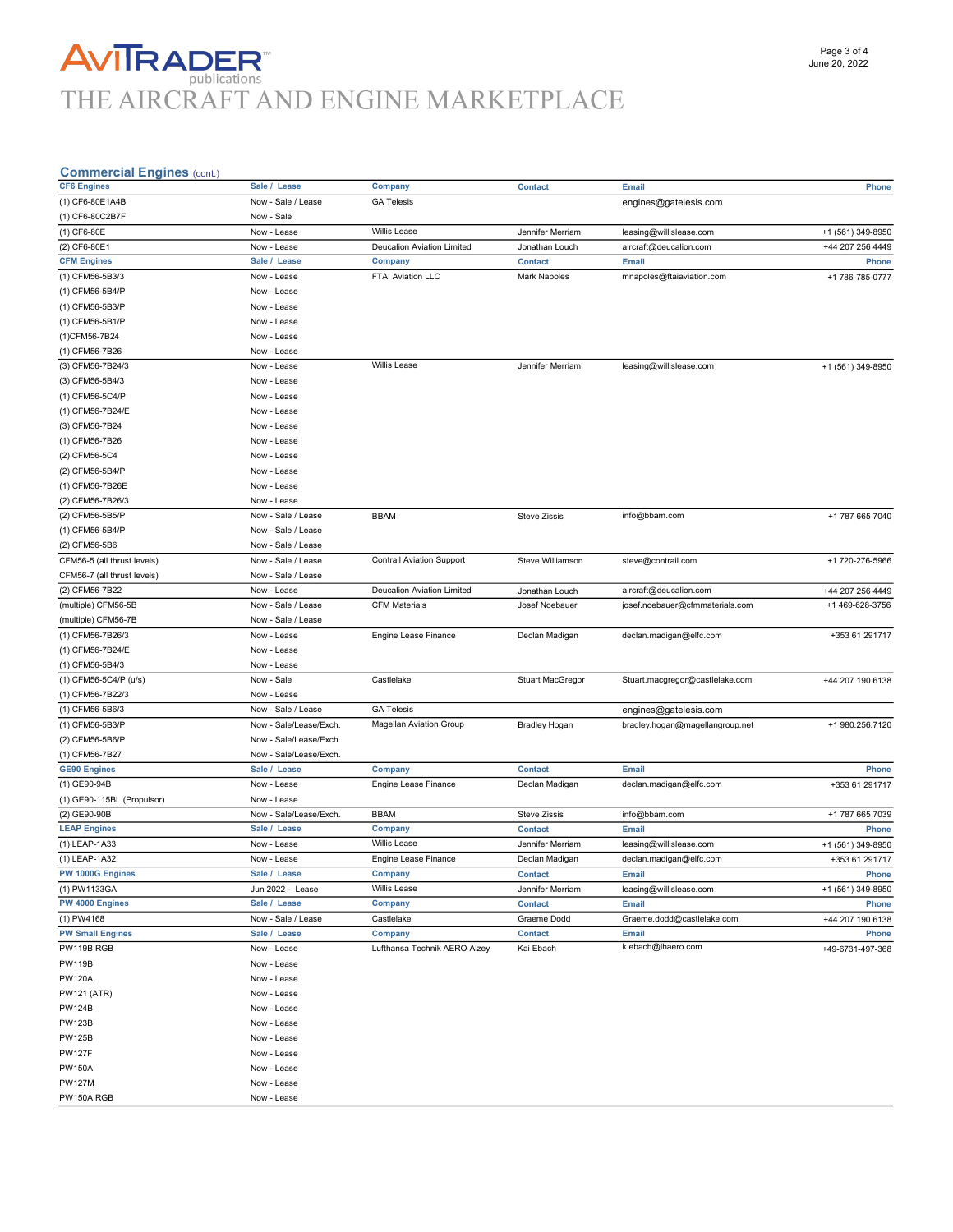## **AVITRADER**<br>THE AIRCRAFT AND ENGINE MARKETPLACE

#### Commercial Engines (cont.)

| $\frac{1}{2}$               |                        |                                   |                         |                                 |                   |
|-----------------------------|------------------------|-----------------------------------|-------------------------|---------------------------------|-------------------|
| <b>CF6 Engines</b>          | Sale / Lease           | Company                           | <b>Contact</b>          | <b>Email</b>                    | Phone             |
| (1) CF6-80E1A4B             | Now - Sale / Lease     | <b>GA Telesis</b>                 |                         | engines@gatelesis.com           |                   |
| (1) CF6-80C2B7F             | Now - Sale             |                                   |                         |                                 |                   |
| (1) CF6-80E                 | Now - Lease            | Willis Lease                      | Jennifer Merriam        | leasing@willislease.com         | +1 (561) 349-8950 |
| (2) CF6-80E1                | Now - Lease            | Deucalion Aviation Limited        | Jonathan Louch          | aircraft@deucalion.com          | +44 207 256 4449  |
| <b>CFM Engines</b>          | Sale / Lease           | Company                           | <b>Contact</b>          | <b>Email</b>                    | Phone             |
| (1) CFM56-5B3/3             | Now - Lease            | FTAI Aviation LLC                 | <b>Mark Napoles</b>     | mnapoles@ftaiaviation.com       | +1 786-785-0777   |
| (1) CFM56-5B4/P             | Now - Lease            |                                   |                         |                                 |                   |
|                             |                        |                                   |                         |                                 |                   |
| (1) CFM56-5B3/P             | Now - Lease            |                                   |                         |                                 |                   |
| (1) CFM56-5B1/P             | Now - Lease            |                                   |                         |                                 |                   |
| (1)CFM56-7B24               | Now - Lease            |                                   |                         |                                 |                   |
| (1) CFM56-7B26              | Now - Lease            |                                   |                         |                                 |                   |
| (3) CFM56-7B24/3            | Now - Lease            | Willis Lease                      | Jennifer Merriam        | leasing@willislease.com         | +1 (561) 349-8950 |
| (3) CFM56-5B4/3             | Now - Lease            |                                   |                         |                                 |                   |
| (1) CFM56-5C4/P             | Now - Lease            |                                   |                         |                                 |                   |
| (1) CFM56-7B24/E            | Now - Lease            |                                   |                         |                                 |                   |
| (3) CFM56-7B24              | Now - Lease            |                                   |                         |                                 |                   |
| (1) CFM56-7B26              | Now - Lease            |                                   |                         |                                 |                   |
| (2) CFM56-5C4               | Now - Lease            |                                   |                         |                                 |                   |
| (2) CFM56-5B4/P             | Now - Lease            |                                   |                         |                                 |                   |
| (1) CFM56-7B26E             | Now - Lease            |                                   |                         |                                 |                   |
|                             |                        |                                   |                         |                                 |                   |
| (2) CFM56-7B26/3            | Now - Lease            |                                   |                         |                                 |                   |
| (2) CFM56-5B5/P             | Now - Sale / Lease     | <b>BBAM</b>                       | <b>Steve Zissis</b>     | info@bbam.com                   | +1 787 665 7040   |
| (1) CFM56-5B4/P             | Now - Sale / Lease     |                                   |                         |                                 |                   |
| (2) CFM56-5B6               | Now - Sale / Lease     |                                   |                         |                                 |                   |
| CFM56-5 (all thrust levels) | Now - Sale / Lease     | <b>Contrail Aviation Support</b>  | Steve Williamson        | steve@contrail.com              | +1 720-276-5966   |
| CFM56-7 (all thrust levels) | Now - Sale / Lease     |                                   |                         |                                 |                   |
| (2) CFM56-7B22              | Now - Lease            | <b>Deucalion Aviation Limited</b> | Jonathan Louch          | aircraft@deucalion.com          | +44 207 256 4449  |
| (multiple) CFM56-5B         | Now - Sale / Lease     | <b>CFM Materials</b>              | Josef Noebauer          | josef.noebauer@cfmmaterials.com | +1 469-628-3756   |
| (multiple) CFM56-7B         | Now - Sale / Lease     |                                   |                         |                                 |                   |
| (1) CFM56-7B26/3            | Now - Lease            | Engine Lease Finance              | Declan Madigan          | declan.madigan@elfc.com         | +353 61 291717    |
| (1) CFM56-7B24/E            | Now - Lease            |                                   |                         |                                 |                   |
| (1) CFM56-5B4/3             | Now - Lease            |                                   |                         |                                 |                   |
| (1) CFM56-5C4/P (u/s)       | Now - Sale             | Castlelake                        | <b>Stuart MacGregor</b> | Stuart.macgregor@castlelake.com | +44 207 190 6138  |
| (1) CFM56-7B22/3            | Now - Lease            |                                   |                         |                                 |                   |
| (1) CFM56-5B6/3             | Now - Sale / Lease     | <b>GA Telesis</b>                 |                         | engines@gatelesis.com           |                   |
| (1) CFM56-5B3/P             | Now - Sale/Lease/Exch. | <b>Magellan Aviation Group</b>    | <b>Bradley Hogan</b>    | bradley.hogan@magellangroup.net | +1 980.256.7120   |
|                             | Now - Sale/Lease/Exch. |                                   |                         |                                 |                   |
| (2) CFM56-5B6/P             |                        |                                   |                         |                                 |                   |
| (1) CFM56-7B27              | Now - Sale/Lease/Exch. |                                   |                         |                                 |                   |
| <b>GE90 Engines</b>         | Sale / Lease           | Company                           | <b>Contact</b>          | Email                           | Phone             |
| (1) GE90-94B                | Now - Lease            | Engine Lease Finance              | Declan Madigan          | declan.madigan@elfc.com         | +353 61 291717    |
| (1) GE90-115BL (Propulsor)  | Now - Lease            |                                   |                         |                                 |                   |
| (2) GE90-90B                | Now - Sale/Lease/Exch. | <b>BBAM</b>                       | Steve Zissis            | info@bbam.com                   | +1 787 665 7039   |
| <b>LEAP Engines</b>         | Sale / Lease           | Company                           | <b>Contact</b>          | Email                           | Phone             |
| (1) LEAP-1A33               | Now - Lease            | Willis Lease                      | Jennifer Merriam        | leasing@willislease.com         | +1 (561) 349-8950 |
| (1) LEAP-1A32               | Now - Lease            | Engine Lease Finance              | Declan Madigan          | declan.madigan@elfc.com         | +353 61 291717    |
| PW 1000G Engines            | Sale / Lease           | Company                           | <b>Contact</b>          | Email                           | Phone             |
| (1) PW1133GA                | Jun 2022 - Lease       | <b>Willis Lease</b>               | Jennifer Merriam        | leasing@willislease.com         | +1 (561) 349-8950 |
| PW 4000 Engines             | Sale / Lease           | Company                           | <b>Contact</b>          | Email                           | <b>Phone</b>      |
| (1) PW4168                  | Now - Sale / Lease     | Castlelake                        | Graeme Dodd             | Graeme.dodd@castlelake.com      | +44 207 190 6138  |
| <b>PW Small Engines</b>     | Sale / Lease           | Company                           | <b>Contact</b>          | Email                           | Phone             |
| PW119B RGB                  | Now - Lease            | Lufthansa Technik AERO Alzey      | Kai Ebach               | k.ebach@lhaero.com              | +49-6731-497-368  |
| <b>PW119B</b>               | Now - Lease            |                                   |                         |                                 |                   |
|                             |                        |                                   |                         |                                 |                   |
| <b>PW120A</b>               | Now - Lease            |                                   |                         |                                 |                   |
| <b>PW121 (ATR)</b>          | Now - Lease            |                                   |                         |                                 |                   |
| <b>PW124B</b>               | Now - Lease            |                                   |                         |                                 |                   |
| <b>PW123B</b>               | Now - Lease            |                                   |                         |                                 |                   |
| <b>PW125B</b>               | Now - Lease            |                                   |                         |                                 |                   |
| <b>PW127F</b>               | Now - Lease            |                                   |                         |                                 |                   |
| <b>PW150A</b>               | Now - Lease            |                                   |                         |                                 |                   |
| <b>PW127M</b>               | Now - Lease            |                                   |                         |                                 |                   |
| PW150A RGB                  | Now - Lease            |                                   |                         |                                 |                   |